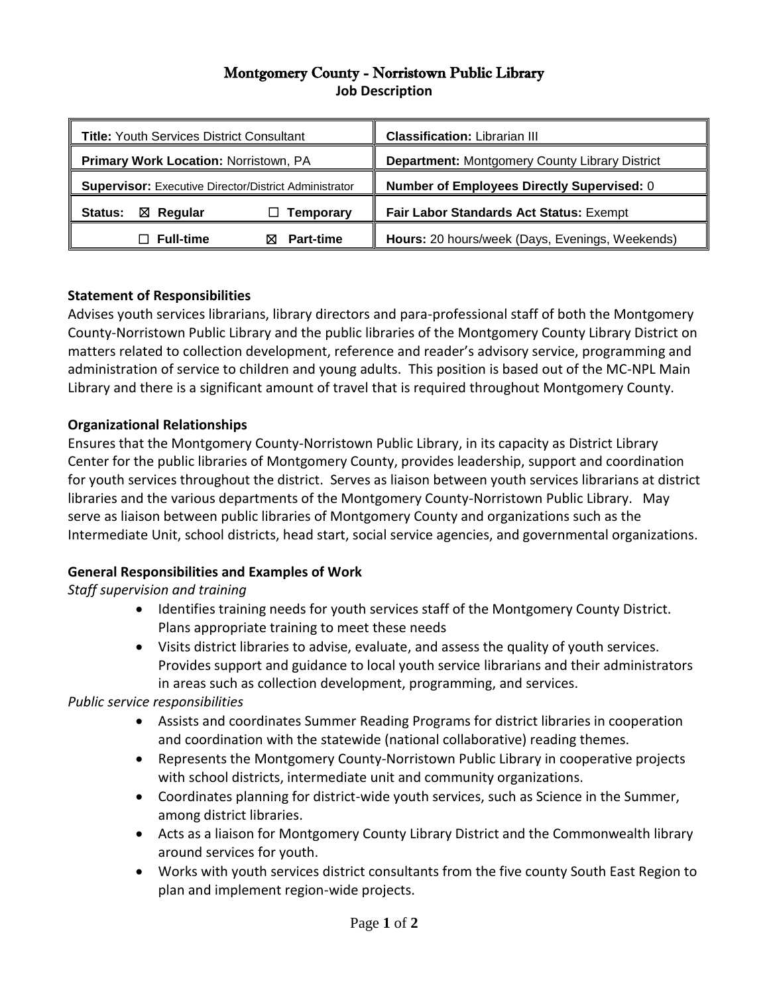## Montgomery County - Norristown Public Library **Job Description**

| <b>Title: Youth Services District Consultant</b>             | <b>Classification: Librarian III</b>                  |
|--------------------------------------------------------------|-------------------------------------------------------|
| <b>Primary Work Location: Norristown, PA</b>                 | <b>Department: Montgomery County Library District</b> |
| <b>Supervisor:</b> Executive Director/District Administrator | <b>Number of Employees Directly Supervised: 0</b>     |
| $\boxtimes$ Regular<br>Status:<br>Temporary                  | Fair Labor Standards Act Status: Exempt               |
| $\Box$ Full-time<br><b>Part-time</b>                         | Hours: 20 hours/week (Days, Evenings, Weekends)       |

# **Statement of Responsibilities**

Advises youth services librarians, library directors and para-professional staff of both the Montgomery County-Norristown Public Library and the public libraries of the Montgomery County Library District on matters related to collection development, reference and reader's advisory service, programming and administration of service to children and young adults. This position is based out of the MC-NPL Main Library and there is a significant amount of travel that is required throughout Montgomery County.

#### **Organizational Relationships**

Ensures that the Montgomery County-Norristown Public Library, in its capacity as District Library Center for the public libraries of Montgomery County, provides leadership, support and coordination for youth services throughout the district. Serves as liaison between youth services librarians at district libraries and the various departments of the Montgomery County-Norristown Public Library. May serve as liaison between public libraries of Montgomery County and organizations such as the Intermediate Unit, school districts, head start, social service agencies, and governmental organizations.

#### **General Responsibilities and Examples of Work**

# *Staff supervision and training*

- Identifies training needs for youth services staff of the Montgomery County District. Plans appropriate training to meet these needs
- Visits district libraries to advise, evaluate, and assess the quality of youth services. Provides support and guidance to local youth service librarians and their administrators in areas such as collection development, programming, and services.

*Public service responsibilities*

- Assists and coordinates Summer Reading Programs for district libraries in cooperation and coordination with the statewide (national collaborative) reading themes.
- Represents the Montgomery County-Norristown Public Library in cooperative projects with school districts, intermediate unit and community organizations.
- Coordinates planning for district-wide youth services, such as Science in the Summer, among district libraries.
- Acts as a liaison for Montgomery County Library District and the Commonwealth library around services for youth.
- Works with youth services district consultants from the five county South East Region to plan and implement region-wide projects.